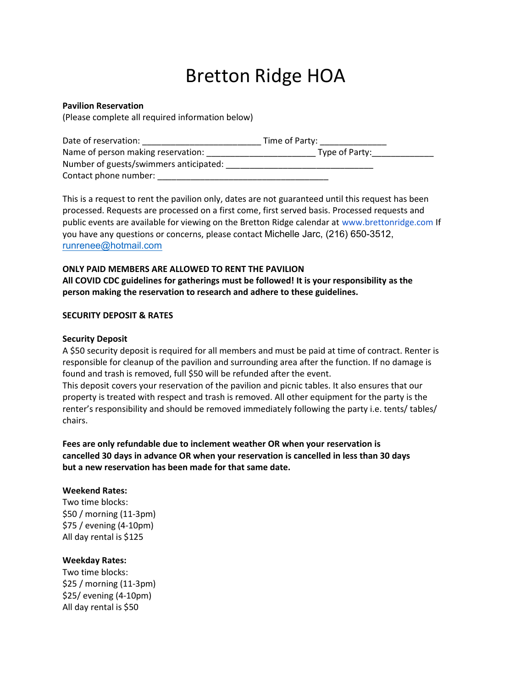# Bretton Ridge HOA

#### Pavilion Reservation

(Please complete all required information below)

| Date of reservation:                   | Time of Party: |
|----------------------------------------|----------------|
| Name of person making reservation:     | Type of Party: |
| Number of guests/swimmers anticipated: |                |
| Contact phone number:                  |                |

This is a request to rent the pavilion only, dates are not guaranteed until this request has been processed. Requests are processed on a first come, first served basis. Processed requests and public events are available for viewing on the Bretton Ridge calendar at www.brettonridge.com If you have any questions or concerns, please contact Michelle Jarc, (216) 650-3512, runrenee@hotmail.com

### ONLY PAID MEMBERS ARE ALLOWED TO RENT THE PAVILION All COVID CDC guidelines for gatherings must be followed! It is your responsibility as the person making the reservation to research and adhere to these guidelines.

#### SECURITY DEPOSIT & RATES

#### Security Deposit

A \$50 security deposit is required for all members and must be paid at time of contract. Renter is responsible for cleanup of the pavilion and surrounding area after the function. If no damage is found and trash is removed, full \$50 will be refunded after the event.

This deposit covers your reservation of the pavilion and picnic tables. It also ensures that our property is treated with respect and trash is removed. All other equipment for the party is the renter's responsibility and should be removed immediately following the party i.e. tents/ tables/ chairs.

Fees are only refundable due to inclement weather OR when your reservation is cancelled 30 days in advance OR when your reservation is cancelled in less than 30 days but a new reservation has been made for that same date.

#### Weekend Rates:

Two time blocks: \$50 / morning (11-3pm) \$75 / evening (4-10pm) All day rental is \$125

#### Weekday Rates:

Two time blocks: \$25 / morning (11-3pm) \$25/ evening (4-10pm) All day rental is \$50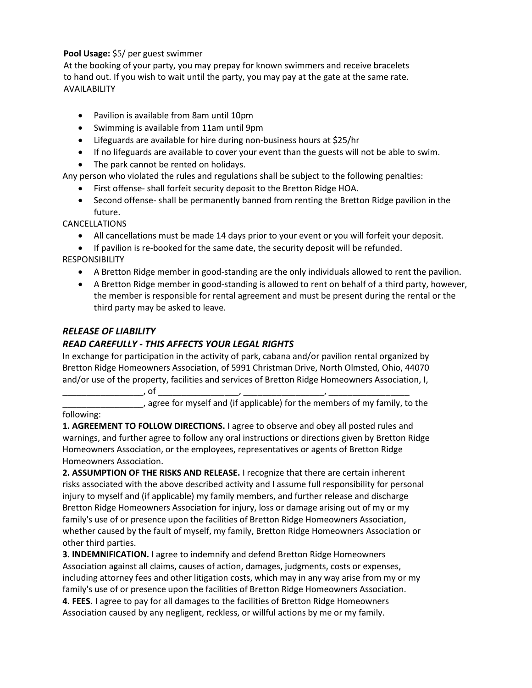## Pool Usage: \$5/ per guest swimmer

At the booking of your party, you may prepay for known swimmers and receive bracelets to hand out. If you wish to wait until the party, you may pay at the gate at the same rate. AVAILABILITY

- Pavilion is available from 8am until 10pm
- Swimming is available from 11am until 9pm
- Lifeguards are available for hire during non-business hours at \$25/hr
- If no lifeguards are available to cover your event than the guests will not be able to swim.
- The park cannot be rented on holidays.

Any person who violated the rules and regulations shall be subject to the following penalties:

- First offense- shall forfeit security deposit to the Bretton Ridge HOA.
- Second offense- shall be permanently banned from renting the Bretton Ridge pavilion in the future.

## CANCELLATIONS

- All cancellations must be made 14 days prior to your event or you will forfeit your deposit.
- If pavilion is re-booked for the same date, the security deposit will be refunded.

RESPONSIBILITY

- A Bretton Ridge member in good-standing are the only individuals allowed to rent the pavilion.
- A Bretton Ridge member in good-standing is allowed to rent on behalf of a third party, however, the member is responsible for rental agreement and must be present during the rental or the third party may be asked to leave.

## RELEASE OF LIABILITY

# READ CAREFULLY - THIS AFFECTS YOUR LEGAL RIGHTS

In exchange for participation in the activity of park, cabana and/or pavilion rental organized by Bretton Ridge Homeowners Association, of 5991 Christman Drive, North Olmsted, Ohio, 44070 and/or use of the property, facilities and services of Bretton Ridge Homeowners Association, I,

\_\_\_\_\_\_\_\_\_\_\_\_\_\_\_\_\_, of \_\_\_\_\_\_\_\_\_\_\_\_\_\_\_\_\_, \_\_\_\_\_\_\_\_\_\_\_\_\_\_\_\_\_, \_\_\_\_\_\_\_\_\_\_\_\_\_\_\_\_\_ \_\_\_\_\_, agree for myself and (if applicable) for the members of my family, to the following:

1. AGREEMENT TO FOLLOW DIRECTIONS. I agree to observe and obey all posted rules and warnings, and further agree to follow any oral instructions or directions given by Bretton Ridge Homeowners Association, or the employees, representatives or agents of Bretton Ridge Homeowners Association.

2. ASSUMPTION OF THE RISKS AND RELEASE. I recognize that there are certain inherent risks associated with the above described activity and I assume full responsibility for personal injury to myself and (if applicable) my family members, and further release and discharge Bretton Ridge Homeowners Association for injury, loss or damage arising out of my or my family's use of or presence upon the facilities of Bretton Ridge Homeowners Association, whether caused by the fault of myself, my family, Bretton Ridge Homeowners Association or other third parties.

3. INDEMNIFICATION. I agree to indemnify and defend Bretton Ridge Homeowners Association against all claims, causes of action, damages, judgments, costs or expenses, including attorney fees and other litigation costs, which may in any way arise from my or my family's use of or presence upon the facilities of Bretton Ridge Homeowners Association. 4. FEES. I agree to pay for all damages to the facilities of Bretton Ridge Homeowners Association caused by any negligent, reckless, or willful actions by me or my family.